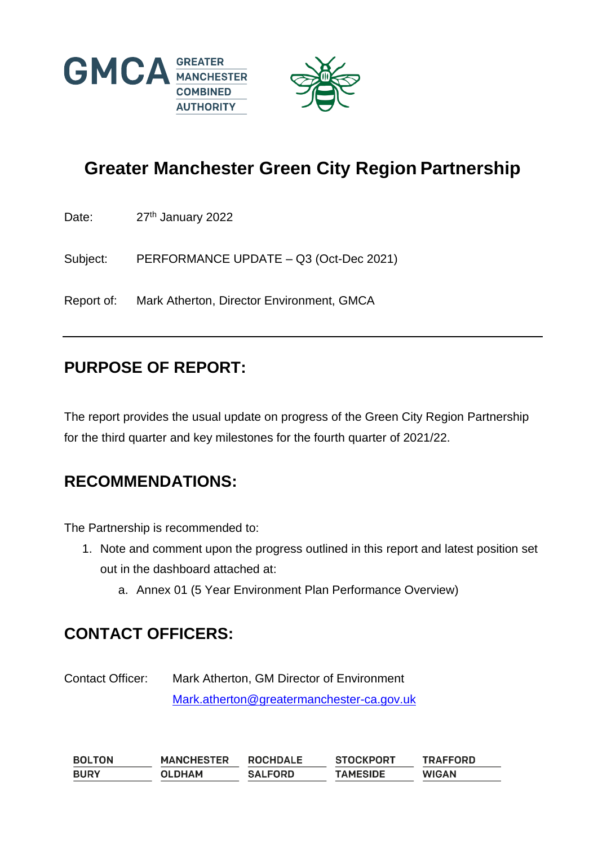



# **Greater Manchester Green City Region Partnership**

Date: 27<sup>th</sup> January 2022

Subject: PERFORMANCE UPDATE – Q3 (Oct-Dec 2021)

Report of: Mark Atherton, Director Environment, GMCA

#### **PURPOSE OF REPORT:**

The report provides the usual update on progress of the Green City Region Partnership for the third quarter and key milestones for the fourth quarter of 2021/22.

#### **RECOMMENDATIONS:**

The Partnership is recommended to:

- 1. Note and comment upon the progress outlined in this report and latest position set out in the dashboard attached at:
	- a. Annex 01 (5 Year Environment Plan Performance Overview)

#### **CONTACT OFFICERS:**

Contact Officer: Mark Atherton, GM Director of Environment [Mark.atherton@greatermanchester-ca.gov.uk](mailto:Mark.atherton@greatermanchester-ca.gov.uk)

**BOLTON MANCHESTER ROCHDALE STOCKPORT TRAFFORD BURY OLDHAM SALFORD TAMESIDE WIGAN**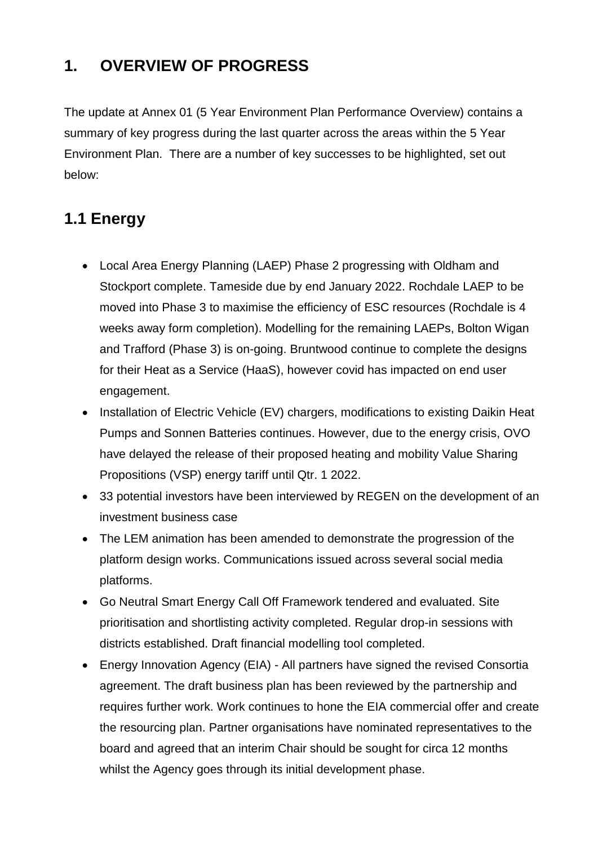## **1. OVERVIEW OF PROGRESS**

The update at Annex 01 (5 Year Environment Plan Performance Overview) contains a summary of key progress during the last quarter across the areas within the 5 Year Environment Plan. There are a number of key successes to be highlighted, set out below:

## **1.1 Energy**

- Local Area Energy Planning (LAEP) Phase 2 progressing with Oldham and Stockport complete. Tameside due by end January 2022. Rochdale LAEP to be moved into Phase 3 to maximise the efficiency of ESC resources (Rochdale is 4 weeks away form completion). Modelling for the remaining LAEPs, Bolton Wigan and Trafford (Phase 3) is on-going. Bruntwood continue to complete the designs for their Heat as a Service (HaaS), however covid has impacted on end user engagement.
- Installation of Electric Vehicle (EV) chargers, modifications to existing Daikin Heat Pumps and Sonnen Batteries continues. However, due to the energy crisis, OVO have delayed the release of their proposed heating and mobility Value Sharing Propositions (VSP) energy tariff until Qtr. 1 2022.
- 33 potential investors have been interviewed by REGEN on the development of an investment business case
- The LEM animation has been amended to demonstrate the progression of the platform design works. Communications issued across several social media platforms.
- Go Neutral Smart Energy Call Off Framework tendered and evaluated. Site prioritisation and shortlisting activity completed. Regular drop-in sessions with districts established. Draft financial modelling tool completed.
- Energy Innovation Agency (EIA) All partners have signed the revised Consortia agreement. The draft business plan has been reviewed by the partnership and requires further work. Work continues to hone the EIA commercial offer and create the resourcing plan. Partner organisations have nominated representatives to the board and agreed that an interim Chair should be sought for circa 12 months whilst the Agency goes through its initial development phase.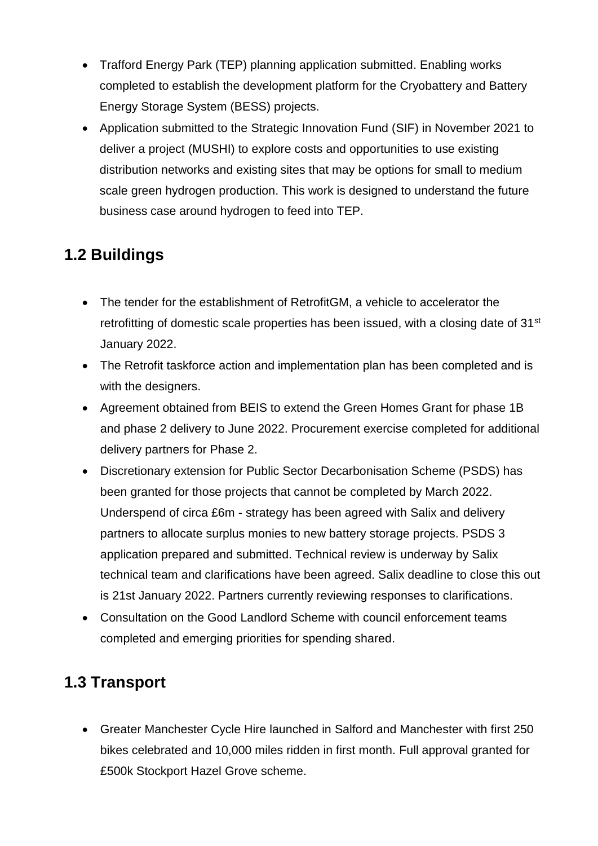- Trafford Energy Park (TEP) planning application submitted. Enabling works completed to establish the development platform for the Cryobattery and Battery Energy Storage System (BESS) projects.
- Application submitted to the Strategic Innovation Fund (SIF) in November 2021 to deliver a project (MUSHI) to explore costs and opportunities to use existing distribution networks and existing sites that may be options for small to medium scale green hydrogen production. This work is designed to understand the future business case around hydrogen to feed into TEP.

# **1.2 Buildings**

- The tender for the establishment of RetrofitGM, a vehicle to accelerator the retrofitting of domestic scale properties has been issued, with a closing date of 31<sup>st</sup> January 2022.
- The Retrofit taskforce action and implementation plan has been completed and is with the designers.
- Agreement obtained from BEIS to extend the Green Homes Grant for phase 1B and phase 2 delivery to June 2022. Procurement exercise completed for additional delivery partners for Phase 2.
- Discretionary extension for Public Sector Decarbonisation Scheme (PSDS) has been granted for those projects that cannot be completed by March 2022. Underspend of circa £6m - strategy has been agreed with Salix and delivery partners to allocate surplus monies to new battery storage projects. PSDS 3 application prepared and submitted. Technical review is underway by Salix technical team and clarifications have been agreed. Salix deadline to close this out is 21st January 2022. Partners currently reviewing responses to clarifications.
- Consultation on the Good Landlord Scheme with council enforcement teams completed and emerging priorities for spending shared.

## **1.3 Transport**

 Greater Manchester Cycle Hire launched in Salford and Manchester with first 250 bikes celebrated and 10,000 miles ridden in first month. Full approval granted for £500k Stockport Hazel Grove scheme.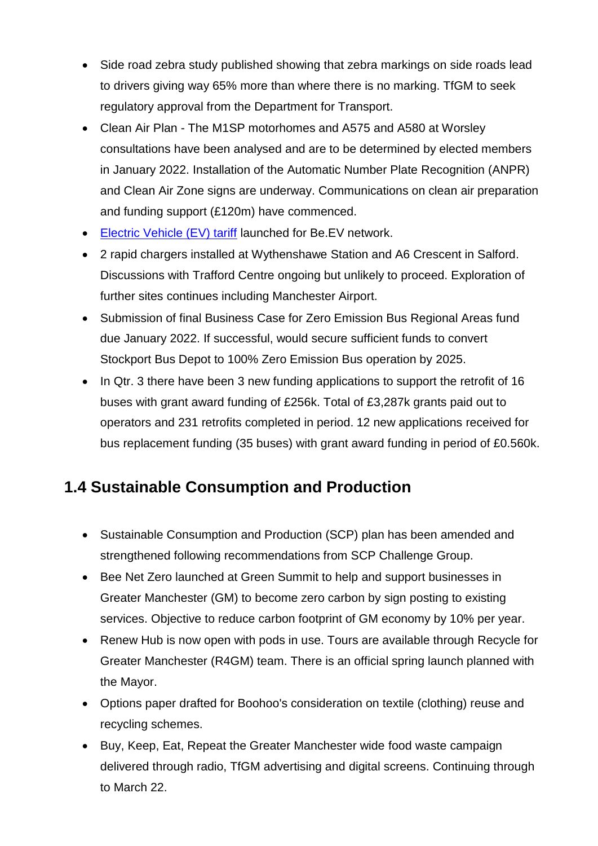- Side road zebra study published showing that zebra markings on side roads lead to drivers giving way 65% more than where there is no marking. TfGM to seek regulatory approval from the Department for Transport.
- Clean Air Plan The M1SP motorhomes and A575 and A580 at Worsley consultations have been analysed and are to be determined by elected members in January 2022. Installation of the Automatic Number Plate Recognition (ANPR) and Clean Air Zone signs are underway. Communications on clean air preparation and funding support (£120m) have commenced.
- Electric [Vehicle \(EV\)](https://be-ev.co.uk/tariff/) tariff launched for Be.EV network.
- 2 rapid chargers installed at Wythenshawe Station and A6 Crescent in Salford. Discussions with Trafford Centre ongoing but unlikely to proceed. Exploration of further sites continues including Manchester Airport.
- Submission of final Business Case for Zero Emission Bus Regional Areas fund due January 2022. If successful, would secure sufficient funds to convert Stockport Bus Depot to 100% Zero Emission Bus operation by 2025.
- In Qtr. 3 there have been 3 new funding applications to support the retrofit of 16 buses with grant award funding of £256k. Total of £3,287k grants paid out to operators and 231 retrofits completed in period. 12 new applications received for bus replacement funding (35 buses) with grant award funding in period of £0.560k.

#### **1.4 Sustainable Consumption and Production**

- Sustainable Consumption and Production (SCP) plan has been amended and strengthened following recommendations from SCP Challenge Group.
- Bee Net Zero launched at Green Summit to help and support businesses in Greater Manchester (GM) to become zero carbon by sign posting to existing services. Objective to reduce carbon footprint of GM economy by 10% per year.
- Renew Hub is now open with pods in use. Tours are available through Recycle for Greater Manchester (R4GM) team. There is an official spring launch planned with the Mayor.
- Options paper drafted for Boohoo's consideration on textile (clothing) reuse and recycling schemes.
- Buy, Keep, Eat, Repeat the Greater Manchester wide food waste campaign delivered through radio, TfGM advertising and digital screens. Continuing through to March 22.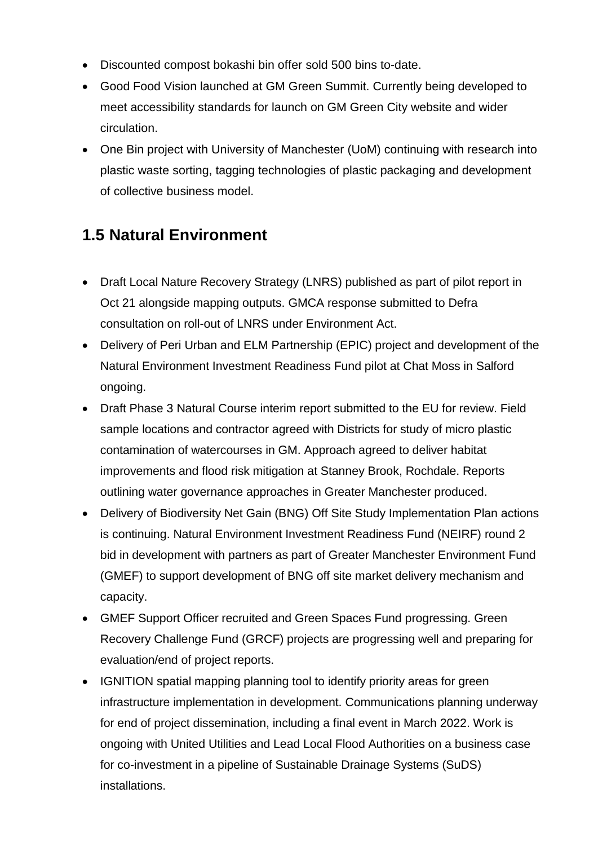- Discounted compost bokashi bin offer sold 500 bins to-date.
- Good Food Vision launched at GM Green Summit. Currently being developed to meet accessibility standards for launch on GM Green City website and wider circulation.
- One Bin project with University of Manchester (UoM) continuing with research into plastic waste sorting, tagging technologies of plastic packaging and development of collective business model.

## **1.5 Natural Environment**

- Draft Local Nature Recovery Strategy (LNRS) published as part of pilot report in Oct 21 alongside mapping outputs. GMCA response submitted to Defra consultation on roll-out of LNRS under Environment Act.
- Delivery of Peri Urban and ELM Partnership (EPIC) project and development of the Natural Environment Investment Readiness Fund pilot at Chat Moss in Salford ongoing.
- Draft Phase 3 Natural Course interim report submitted to the EU for review. Field sample locations and contractor agreed with Districts for study of micro plastic contamination of watercourses in GM. Approach agreed to deliver habitat improvements and flood risk mitigation at Stanney Brook, Rochdale. Reports outlining water governance approaches in Greater Manchester produced.
- Delivery of Biodiversity Net Gain (BNG) Off Site Study Implementation Plan actions is continuing. Natural Environment Investment Readiness Fund (NEIRF) round 2 bid in development with partners as part of Greater Manchester Environment Fund (GMEF) to support development of BNG off site market delivery mechanism and capacity.
- GMEF Support Officer recruited and Green Spaces Fund progressing. Green Recovery Challenge Fund (GRCF) projects are progressing well and preparing for evaluation/end of project reports.
- IGNITION spatial mapping planning tool to identify priority areas for green infrastructure implementation in development. Communications planning underway for end of project dissemination, including a final event in March 2022. Work is ongoing with United Utilities and Lead Local Flood Authorities on a business case for co-investment in a pipeline of Sustainable Drainage Systems (SuDS) installations.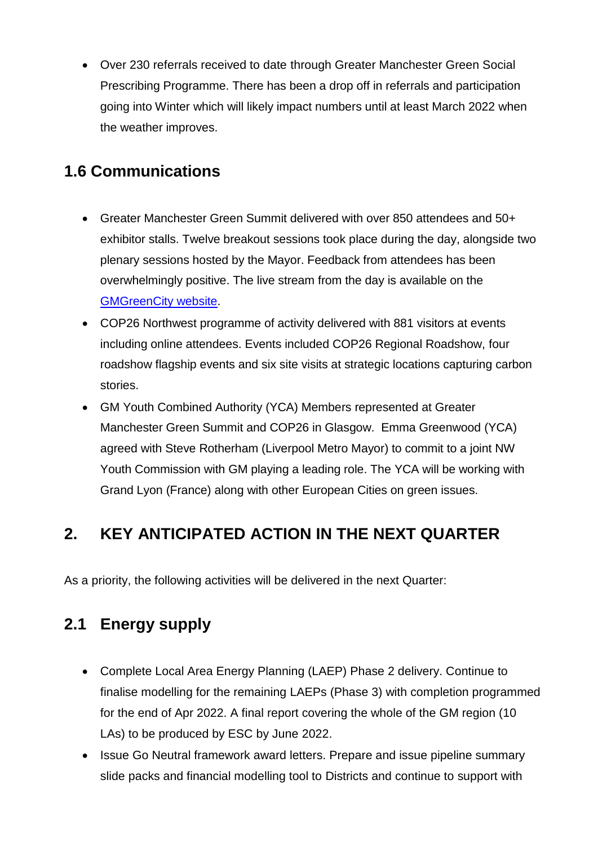Over 230 referrals received to date through Greater Manchester Green Social Prescribing Programme. There has been a drop off in referrals and participation going into Winter which will likely impact numbers until at least March 2022 when the weather improves.

## **1.6 Communications**

- Greater Manchester Green Summit delivered with over 850 attendees and 50+ exhibitor stalls. Twelve breakout sessions took place during the day, alongside two plenary sessions hosted by the Mayor. Feedback from attendees has been overwhelmingly positive. The live stream from the day is available on the [GMGreenCity website.](https://gmgreencity.com/gm-green-summit-2021/)
- COP26 Northwest programme of activity delivered with 881 visitors at events including online attendees. Events included COP26 Regional Roadshow, four roadshow flagship events and six site visits at strategic locations capturing carbon stories.
- GM Youth Combined Authority (YCA) Members represented at Greater Manchester Green Summit and COP26 in Glasgow. Emma Greenwood (YCA) agreed with Steve Rotherham (Liverpool Metro Mayor) to commit to a joint NW Youth Commission with GM playing a leading role. The YCA will be working with Grand Lyon (France) along with other European Cities on green issues.

## **2. KEY ANTICIPATED ACTION IN THE NEXT QUARTER**

As a priority, the following activities will be delivered in the next Quarter:

## **2.1 Energy supply**

- Complete Local Area Energy Planning (LAEP) Phase 2 delivery. Continue to finalise modelling for the remaining LAEPs (Phase 3) with completion programmed for the end of Apr 2022. A final report covering the whole of the GM region (10 LAs) to be produced by ESC by June 2022.
- Issue Go Neutral framework award letters. Prepare and issue pipeline summary slide packs and financial modelling tool to Districts and continue to support with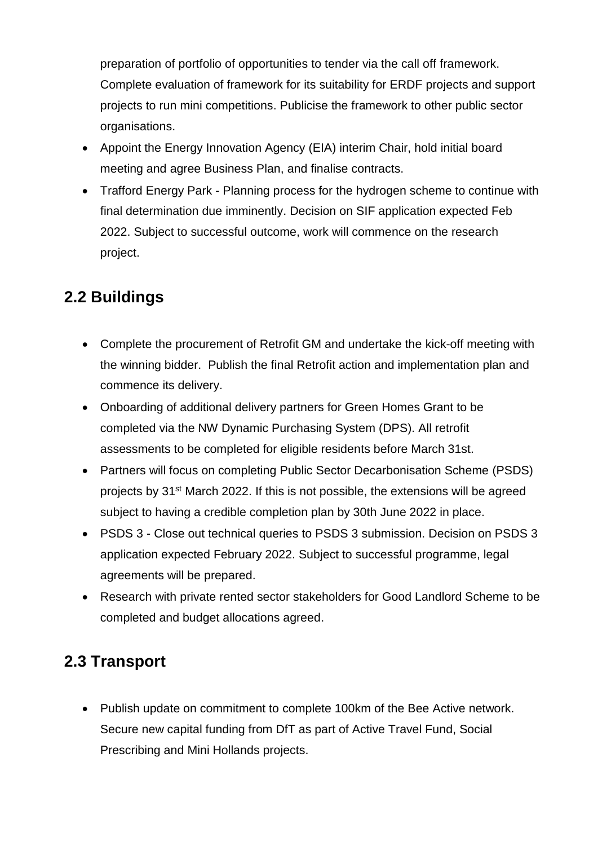preparation of portfolio of opportunities to tender via the call off framework. Complete evaluation of framework for its suitability for ERDF projects and support projects to run mini competitions. Publicise the framework to other public sector organisations.

- Appoint the Energy Innovation Agency (EIA) interim Chair, hold initial board meeting and agree Business Plan, and finalise contracts.
- Trafford Energy Park Planning process for the hydrogen scheme to continue with final determination due imminently. Decision on SIF application expected Feb 2022. Subject to successful outcome, work will commence on the research project.

#### **2.2 Buildings**

- Complete the procurement of Retrofit GM and undertake the kick-off meeting with the winning bidder. Publish the final Retrofit action and implementation plan and commence its delivery.
- Onboarding of additional delivery partners for Green Homes Grant to be completed via the NW Dynamic Purchasing System (DPS). All retrofit assessments to be completed for eligible residents before March 31st.
- Partners will focus on completing Public Sector Decarbonisation Scheme (PSDS) projects by 31st March 2022. If this is not possible, the extensions will be agreed subject to having a credible completion plan by 30th June 2022 in place.
- PSDS 3 Close out technical queries to PSDS 3 submission. Decision on PSDS 3 application expected February 2022. Subject to successful programme, legal agreements will be prepared.
- Research with private rented sector stakeholders for Good Landlord Scheme to be completed and budget allocations agreed.

#### **2.3 Transport**

 Publish update on commitment to complete 100km of the Bee Active network. Secure new capital funding from DfT as part of Active Travel Fund, Social Prescribing and Mini Hollands projects.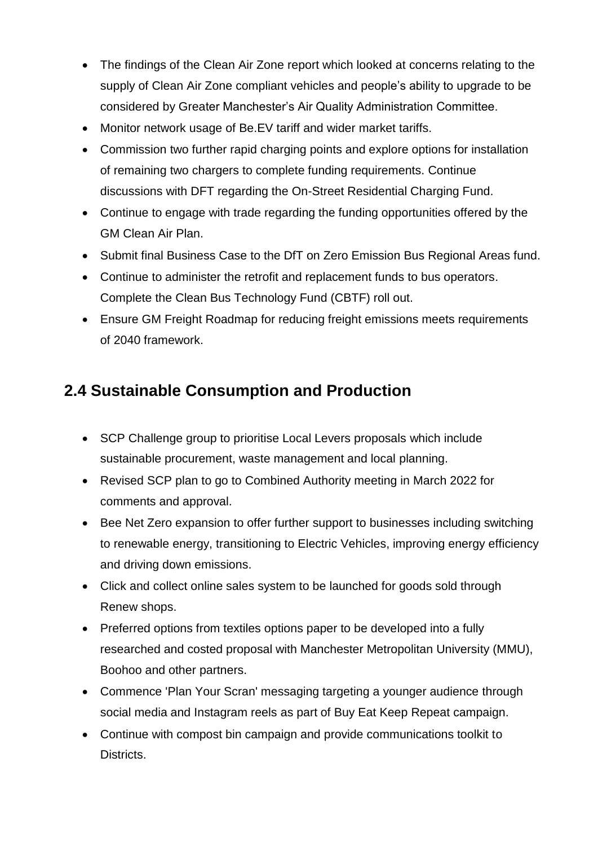- The findings of the Clean Air Zone report which looked at concerns relating to the supply of Clean Air Zone compliant vehicles and people's ability to upgrade to be considered by Greater Manchester's Air Quality Administration Committee.
- Monitor network usage of Be.EV tariff and wider market tariffs.
- Commission two further rapid charging points and explore options for installation of remaining two chargers to complete funding requirements. Continue discussions with DFT regarding the On-Street Residential Charging Fund.
- Continue to engage with trade regarding the funding opportunities offered by the GM Clean Air Plan.
- Submit final Business Case to the DfT on Zero Emission Bus Regional Areas fund.
- Continue to administer the retrofit and replacement funds to bus operators. Complete the Clean Bus Technology Fund (CBTF) roll out.
- Ensure GM Freight Roadmap for reducing freight emissions meets requirements of 2040 framework.

## **2.4 Sustainable Consumption and Production**

- SCP Challenge group to prioritise Local Levers proposals which include sustainable procurement, waste management and local planning.
- Revised SCP plan to go to Combined Authority meeting in March 2022 for comments and approval.
- Bee Net Zero expansion to offer further support to businesses including switching to renewable energy, transitioning to Electric Vehicles, improving energy efficiency and driving down emissions.
- Click and collect online sales system to be launched for goods sold through Renew shops.
- Preferred options from textiles options paper to be developed into a fully researched and costed proposal with Manchester Metropolitan University (MMU), Boohoo and other partners.
- Commence 'Plan Your Scran' messaging targeting a younger audience through social media and Instagram reels as part of Buy Eat Keep Repeat campaign.
- Continue with compost bin campaign and provide communications toolkit to Districts.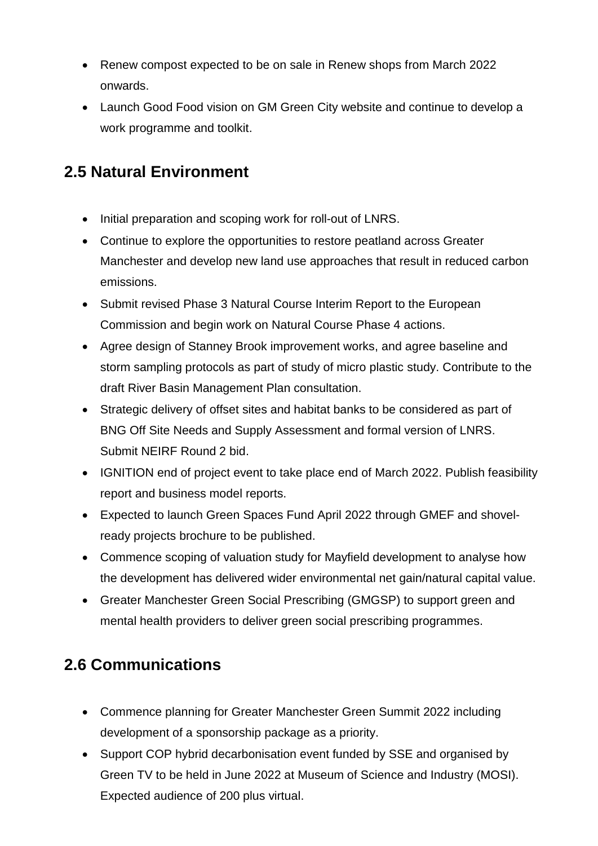- Renew compost expected to be on sale in Renew shops from March 2022 onwards.
- Launch Good Food vision on GM Green City website and continue to develop a work programme and toolkit.

### **2.5 Natural Environment**

- Initial preparation and scoping work for roll-out of LNRS.
- Continue to explore the opportunities to restore peatland across Greater Manchester and develop new land use approaches that result in reduced carbon emissions.
- Submit revised Phase 3 Natural Course Interim Report to the European Commission and begin work on Natural Course Phase 4 actions.
- Agree design of Stanney Brook improvement works, and agree baseline and storm sampling protocols as part of study of micro plastic study. Contribute to the draft River Basin Management Plan consultation.
- Strategic delivery of offset sites and habitat banks to be considered as part of BNG Off Site Needs and Supply Assessment and formal version of LNRS. Submit NEIRF Round 2 bid.
- IGNITION end of project event to take place end of March 2022. Publish feasibility report and business model reports.
- Expected to launch Green Spaces Fund April 2022 through GMEF and shovelready projects brochure to be published.
- Commence scoping of valuation study for Mayfield development to analyse how the development has delivered wider environmental net gain/natural capital value.
- Greater Manchester Green Social Prescribing (GMGSP) to support green and mental health providers to deliver green social prescribing programmes.

## **2.6 Communications**

- Commence planning for Greater Manchester Green Summit 2022 including development of a sponsorship package as a priority.
- Support COP hybrid decarbonisation event funded by SSE and organised by Green TV to be held in June 2022 at Museum of Science and Industry (MOSI). Expected audience of 200 plus virtual.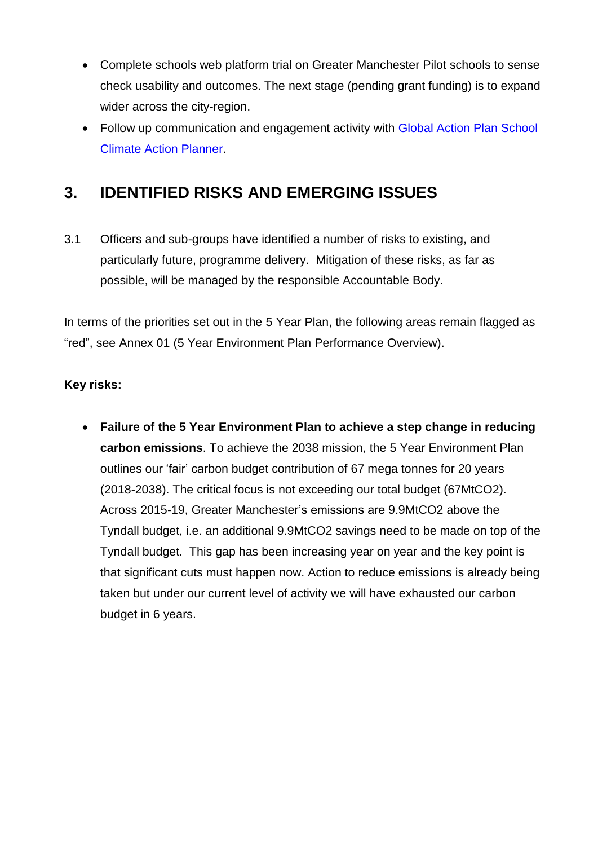- Complete schools web platform trial on Greater Manchester Pilot schools to sense check usability and outcomes. The next stage (pending grant funding) is to expand wider across the city-region.
- Follow up communication and engagement activity with Global Action Plan School [Climate Action Planner.](https://www.transform-our-world.org/climate-action-planner?utm_source=profile&utm_campaign=gmca&utm_id=external)

#### **3. IDENTIFIED RISKS AND EMERGING ISSUES**

3.1 Officers and sub-groups have identified a number of risks to existing, and particularly future, programme delivery. Mitigation of these risks, as far as possible, will be managed by the responsible Accountable Body.

In terms of the priorities set out in the 5 Year Plan, the following areas remain flagged as "red", see Annex 01 (5 Year Environment Plan Performance Overview).

#### **Key risks:**

 **Failure of the 5 Year Environment Plan to achieve a step change in reducing carbon emissions**. To achieve the 2038 mission, the 5 Year Environment Plan outlines our 'fair' carbon budget contribution of 67 mega tonnes for 20 years (2018-2038). The critical focus is not exceeding our total budget (67MtCO2). Across 2015-19, Greater Manchester's emissions are 9.9MtCO2 above the Tyndall budget, i.e. an additional 9.9MtCO2 savings need to be made on top of the Tyndall budget. This gap has been increasing year on year and the key point is that significant cuts must happen now. Action to reduce emissions is already being taken but under our current level of activity we will have exhausted our carbon budget in 6 years.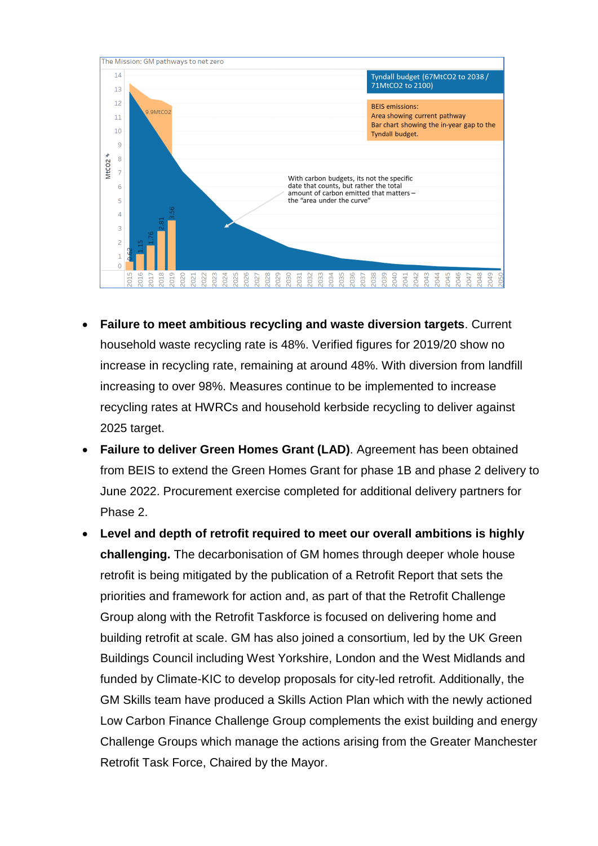

- **Failure to meet ambitious recycling and waste diversion targets**. Current household waste recycling rate is 48%. Verified figures for 2019/20 show no increase in recycling rate, remaining at around 48%. With diversion from landfill increasing to over 98%. Measures continue to be implemented to increase recycling rates at HWRCs and household kerbside recycling to deliver against 2025 target.
- **Failure to deliver Green Homes Grant (LAD)**. Agreement has been obtained from BEIS to extend the Green Homes Grant for phase 1B and phase 2 delivery to June 2022. Procurement exercise completed for additional delivery partners for Phase 2.
- **Level and depth of retrofit required to meet our overall ambitions is highly challenging.** The decarbonisation of GM homes through deeper whole house retrofit is being mitigated by the publication of a Retrofit Report that sets the priorities and framework for action and, as part of that the Retrofit Challenge Group along with the Retrofit Taskforce is focused on delivering home and building retrofit at scale. GM has also joined a consortium, led by the UK Green Buildings Council including West Yorkshire, London and the West Midlands and funded by Climate-KIC to develop proposals for city-led retrofit. Additionally, the GM Skills team have produced a Skills Action Plan which with the newly actioned Low Carbon Finance Challenge Group complements the exist building and energy Challenge Groups which manage the actions arising from the Greater Manchester Retrofit Task Force, Chaired by the Mayor.